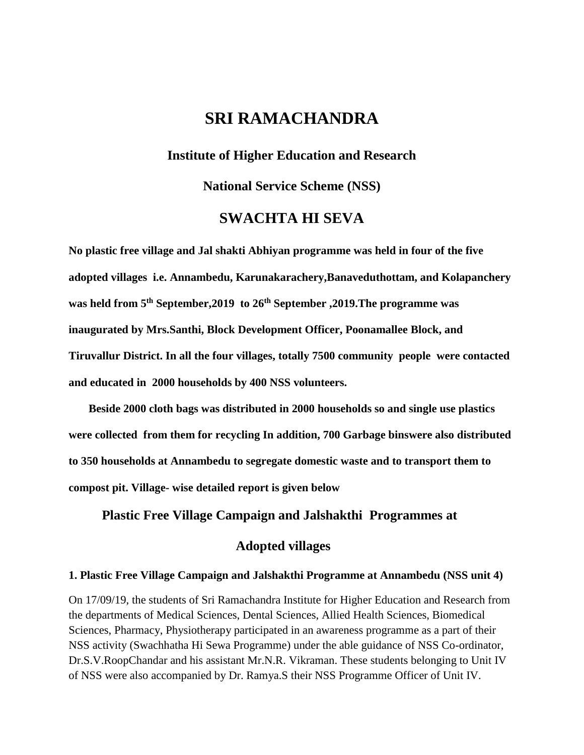## **SRI RAMACHANDRA**

#### **Institute of Higher Education and Research**

**National Service Scheme (NSS)** 

## **SWACHTA HI SEVA**

**No plastic free village and Jal shakti Abhiyan programme was held in four of the five adopted villages i.e. Annambedu, Karunakarachery,Banaveduthottam, and Kolapanchery was held from 5th September,2019 to 26th September ,2019.The programme was inaugurated by Mrs.Santhi, Block Development Officer, Poonamallee Block, and Tiruvallur District. In all the four villages, totally 7500 community people were contacted and educated in 2000 households by 400 NSS volunteers.**

 **Beside 2000 cloth bags was distributed in 2000 households so and single use plastics were collected from them for recycling In addition, 700 Garbage binswere also distributed to 350 households at Annambedu to segregate domestic waste and to transport them to compost pit. Village- wise detailed report is given below** 

 **Plastic Free Village Campaign and Jalshakthi Programmes at** 

## **Adopted villages**

#### **1. Plastic Free Village Campaign and Jalshakthi Programme at Annambedu (NSS unit 4)**

On 17/09/19, the students of Sri Ramachandra Institute for Higher Education and Research from the departments of Medical Sciences, Dental Sciences, Allied Health Sciences, Biomedical Sciences, Pharmacy, Physiotherapy participated in an awareness programme as a part of their NSS activity (Swachhatha Hi Sewa Programme) under the able guidance of NSS Co-ordinator, Dr.S.V.RoopChandar and his assistant Mr.N.R. Vikraman. These students belonging to Unit IV of NSS were also accompanied by Dr. Ramya.S their NSS Programme Officer of Unit IV.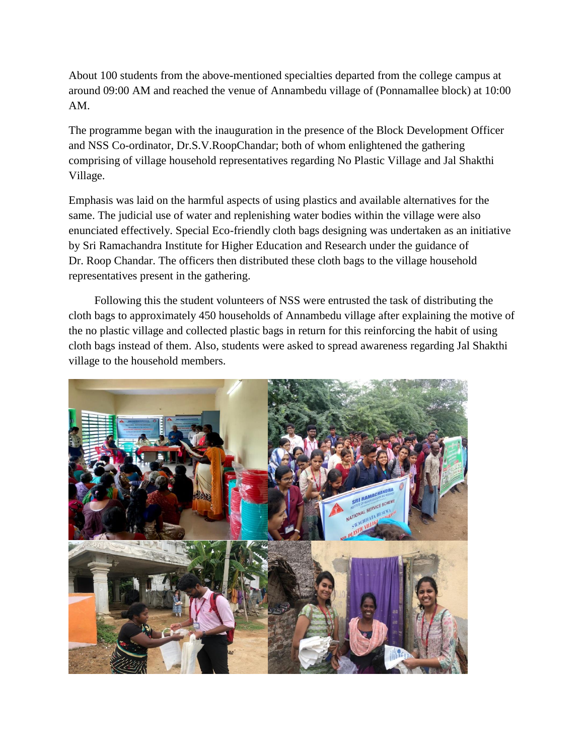About 100 students from the above-mentioned specialties departed from the college campus at around 09:00 AM and reached the venue of Annambedu village of (Ponnamallee block) at 10:00 AM.

The programme began with the inauguration in the presence of the Block Development Officer and NSS Co-ordinator, Dr.S.V.RoopChandar; both of whom enlightened the gathering comprising of village household representatives regarding No Plastic Village and Jal Shakthi Village.

Emphasis was laid on the harmful aspects of using plastics and available alternatives for the same. The judicial use of water and replenishing water bodies within the village were also enunciated effectively. Special Eco-friendly cloth bags designing was undertaken as an initiative by Sri Ramachandra Institute for Higher Education and Research under the guidance of Dr. Roop Chandar. The officers then distributed these cloth bags to the village household representatives present in the gathering.

 Following this the student volunteers of NSS were entrusted the task of distributing the cloth bags to approximately 450 households of Annambedu village after explaining the motive of the no plastic village and collected plastic bags in return for this reinforcing the habit of using cloth bags instead of them. Also, students were asked to spread awareness regarding Jal Shakthi village to the household members.

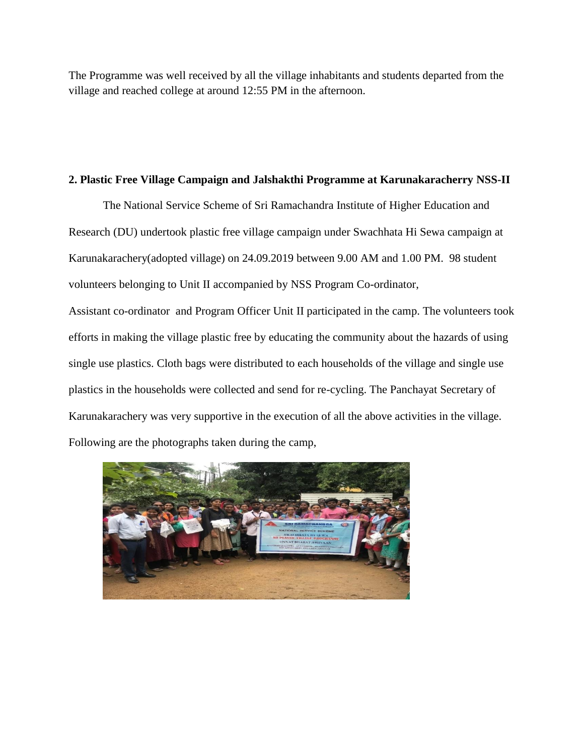The Programme was well received by all the village inhabitants and students departed from the village and reached college at around 12:55 PM in the afternoon.

#### **2. Plastic Free Village Campaign and Jalshakthi Programme at Karunakaracherry NSS-II**

The National Service Scheme of Sri Ramachandra Institute of Higher Education and Research (DU) undertook plastic free village campaign under Swachhata Hi Sewa campaign at Karunakarachery(adopted village) on 24.09.2019 between 9.00 AM and 1.00 PM. 98 student volunteers belonging to Unit II accompanied by NSS Program Co-ordinator,

Assistant co-ordinator and Program Officer Unit II participated in the camp. The volunteers took efforts in making the village plastic free by educating the community about the hazards of using single use plastics. Cloth bags were distributed to each households of the village and single use plastics in the households were collected and send for re-cycling. The Panchayat Secretary of Karunakarachery was very supportive in the execution of all the above activities in the village. Following are the photographs taken during the camp,

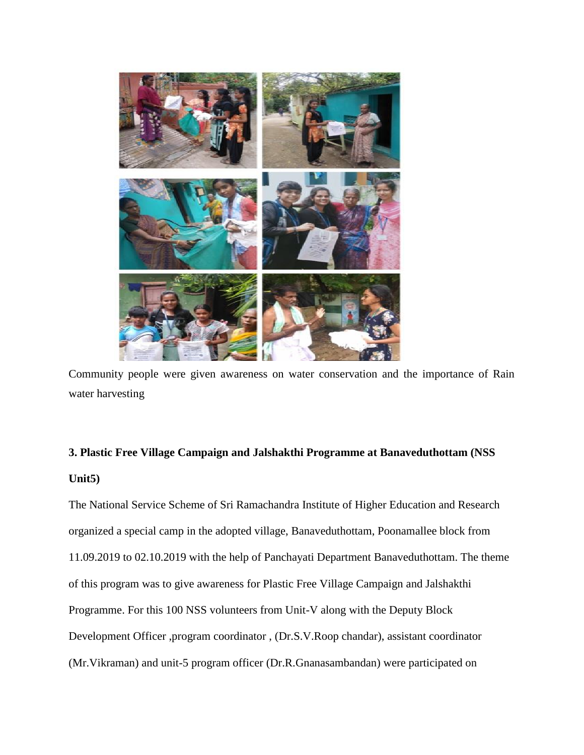

Community people were given awareness on water conservation and the importance of Rain water harvesting

# **3. Plastic Free Village Campaign and Jalshakthi Programme at Banaveduthottam (NSS Unit5)**

The National Service Scheme of Sri Ramachandra Institute of Higher Education and Research organized a special camp in the adopted village, Banaveduthottam, Poonamallee block from 11.09.2019 to 02.10.2019 with the help of Panchayati Department Banaveduthottam. The theme of this program was to give awareness for Plastic Free Village Campaign and Jalshakthi Programme. For this 100 NSS volunteers from Unit-V along with the Deputy Block Development Officer ,program coordinator , (Dr.S.V.Roop chandar), assistant coordinator (Mr.Vikraman) and unit-5 program officer (Dr.R.Gnanasambandan) were participated on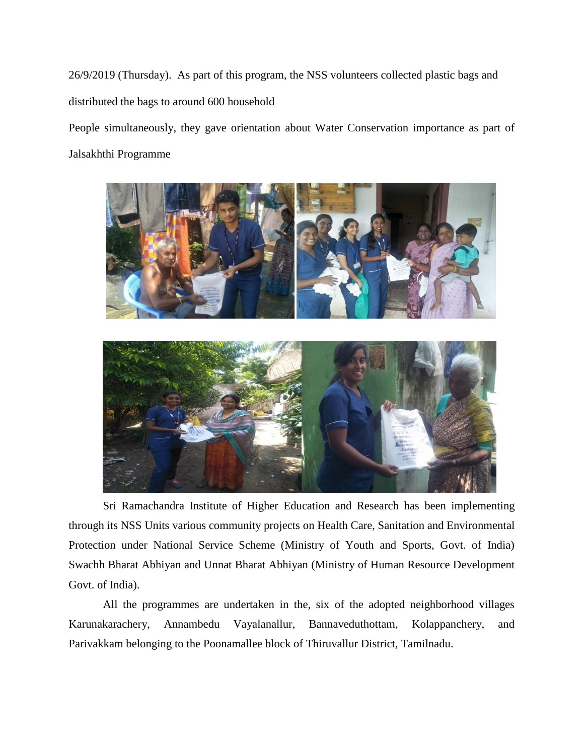26/9/2019 (Thursday). As part of this program, the NSS volunteers collected plastic bags and distributed the bags to around 600 household

People simultaneously, they gave orientation about Water Conservation importance as part of Jalsakhthi Programme



Sri Ramachandra Institute of Higher Education and Research has been implementing through its NSS Units various community projects on Health Care, Sanitation and Environmental Protection under National Service Scheme (Ministry of Youth and Sports, Govt. of India) Swachh Bharat Abhiyan and Unnat Bharat Abhiyan (Ministry of Human Resource Development Govt. of India).

All the programmes are undertaken in the, six of the adopted neighborhood villages Karunakarachery, Annambedu Vayalanallur, Bannaveduthottam, Kolappanchery, and Parivakkam belonging to the Poonamallee block of Thiruvallur District, Tamilnadu.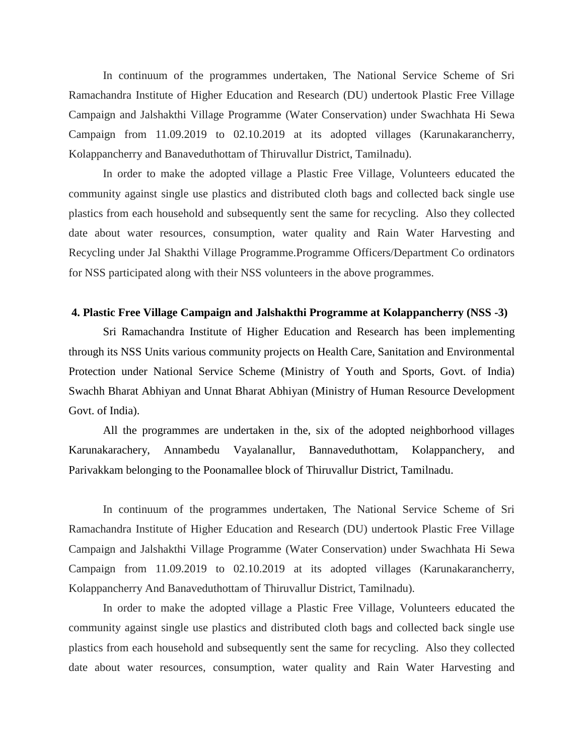In continuum of the programmes undertaken, The National Service Scheme of Sri Ramachandra Institute of Higher Education and Research (DU) undertook Plastic Free Village Campaign and Jalshakthi Village Programme (Water Conservation) under Swachhata Hi Sewa Campaign from 11.09.2019 to 02.10.2019 at its adopted villages (Karunakarancherry, Kolappancherry and Banaveduthottam of Thiruvallur District, Tamilnadu).

In order to make the adopted village a Plastic Free Village, Volunteers educated the community against single use plastics and distributed cloth bags and collected back single use plastics from each household and subsequently sent the same for recycling. Also they collected date about water resources, consumption, water quality and Rain Water Harvesting and Recycling under Jal Shakthi Village Programme.Programme Officers/Department Co ordinators for NSS participated along with their NSS volunteers in the above programmes.

#### **4. Plastic Free Village Campaign and Jalshakthi Programme at Kolappancherry (NSS -3)**

Sri Ramachandra Institute of Higher Education and Research has been implementing through its NSS Units various community projects on Health Care, Sanitation and Environmental Protection under National Service Scheme (Ministry of Youth and Sports, Govt. of India) Swachh Bharat Abhiyan and Unnat Bharat Abhiyan (Ministry of Human Resource Development Govt. of India).

All the programmes are undertaken in the, six of the adopted neighborhood villages Karunakarachery, Annambedu Vayalanallur, Bannaveduthottam, Kolappanchery, and Parivakkam belonging to the Poonamallee block of Thiruvallur District, Tamilnadu.

In continuum of the programmes undertaken, The National Service Scheme of Sri Ramachandra Institute of Higher Education and Research (DU) undertook Plastic Free Village Campaign and Jalshakthi Village Programme (Water Conservation) under Swachhata Hi Sewa Campaign from 11.09.2019 to 02.10.2019 at its adopted villages (Karunakarancherry, Kolappancherry And Banaveduthottam of Thiruvallur District, Tamilnadu).

In order to make the adopted village a Plastic Free Village, Volunteers educated the community against single use plastics and distributed cloth bags and collected back single use plastics from each household and subsequently sent the same for recycling. Also they collected date about water resources, consumption, water quality and Rain Water Harvesting and